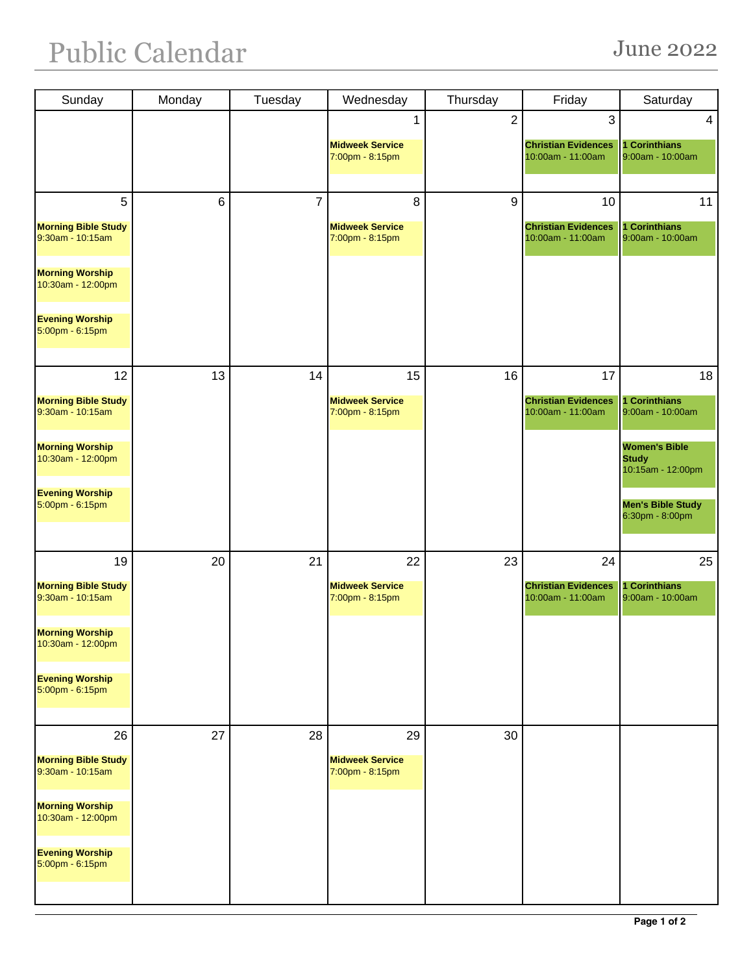| Sunday                                         | Monday | Tuesday        | Wednesday                                 | Thursday       | Friday                                          | Saturday                                                  |
|------------------------------------------------|--------|----------------|-------------------------------------------|----------------|-------------------------------------------------|-----------------------------------------------------------|
|                                                |        |                | 1                                         | $\overline{2}$ | 3                                               | 4                                                         |
|                                                |        |                | <b>Midweek Service</b>                    |                | <b>Christian Evidences</b>                      | 1 Corinthians                                             |
|                                                |        |                | 7:00pm - 8:15pm                           |                | 10:00am - 11:00am                               | 9:00am - 10:00am                                          |
|                                                |        |                |                                           |                |                                                 |                                                           |
| 5                                              | 6      | $\overline{7}$ | 8                                         | 9              | 10                                              | 11                                                        |
| <b>Morning Bible Study</b><br>9:30am - 10:15am |        |                | <b>Midweek Service</b><br>7:00pm - 8:15pm |                | <b>Christian Evidences</b><br>10:00am - 11:00am | 1 Corinthians<br>9:00am - 10:00am                         |
| <b>Morning Worship</b><br>10:30am - 12:00pm    |        |                |                                           |                |                                                 |                                                           |
| <b>Evening Worship</b><br>5:00pm - 6:15pm      |        |                |                                           |                |                                                 |                                                           |
| 12                                             | 13     | 14             | 15                                        | 16             | 17                                              | 18                                                        |
|                                                |        |                |                                           |                |                                                 |                                                           |
| <b>Morning Bible Study</b><br>9:30am - 10:15am |        |                | <b>Midweek Service</b><br>7:00pm - 8:15pm |                | <b>Christian Evidences</b><br>10:00am - 11:00am | <b>1 Corinthians</b><br>9:00am - 10:00am                  |
| <b>Morning Worship</b><br>10:30am - 12:00pm    |        |                |                                           |                |                                                 | <b>Women's Bible</b><br><b>Study</b><br>10:15am - 12:00pm |
| <b>Evening Worship</b><br>5:00pm - 6:15pm      |        |                |                                           |                |                                                 | <b>Men's Bible Study</b><br>6:30pm - 8:00pm               |
| 19                                             | 20     | 21             | 22                                        | 23             | 24                                              | 25                                                        |
|                                                |        |                | <b>Midweek Service</b>                    |                | <b>Christian Evidences</b>                      | 1 Corinthians                                             |
| <b>Morning Bible Study</b><br>9:30am - 10:15am |        |                | 7:00pm - 8:15pm                           |                | 10:00am - 11:00am                               | 9:00am - 10:00am                                          |
| <b>Morning Worship</b><br>10:30am - 12:00pm    |        |                |                                           |                |                                                 |                                                           |
| <b>Evening Worship</b><br>5:00pm - 6:15pm      |        |                |                                           |                |                                                 |                                                           |
| 26                                             | 27     | 28             | 29                                        | 30             |                                                 |                                                           |
| <b>Morning Bible Study</b>                     |        |                | <b>Midweek Service</b>                    |                |                                                 |                                                           |
| 9:30am - 10:15am                               |        |                | 7:00pm - 8:15pm                           |                |                                                 |                                                           |
| <b>Morning Worship</b><br>10:30am - 12:00pm    |        |                |                                           |                |                                                 |                                                           |
| <b>Evening Worship</b><br>5:00pm - 6:15pm      |        |                |                                           |                |                                                 |                                                           |
|                                                |        |                |                                           |                |                                                 |                                                           |